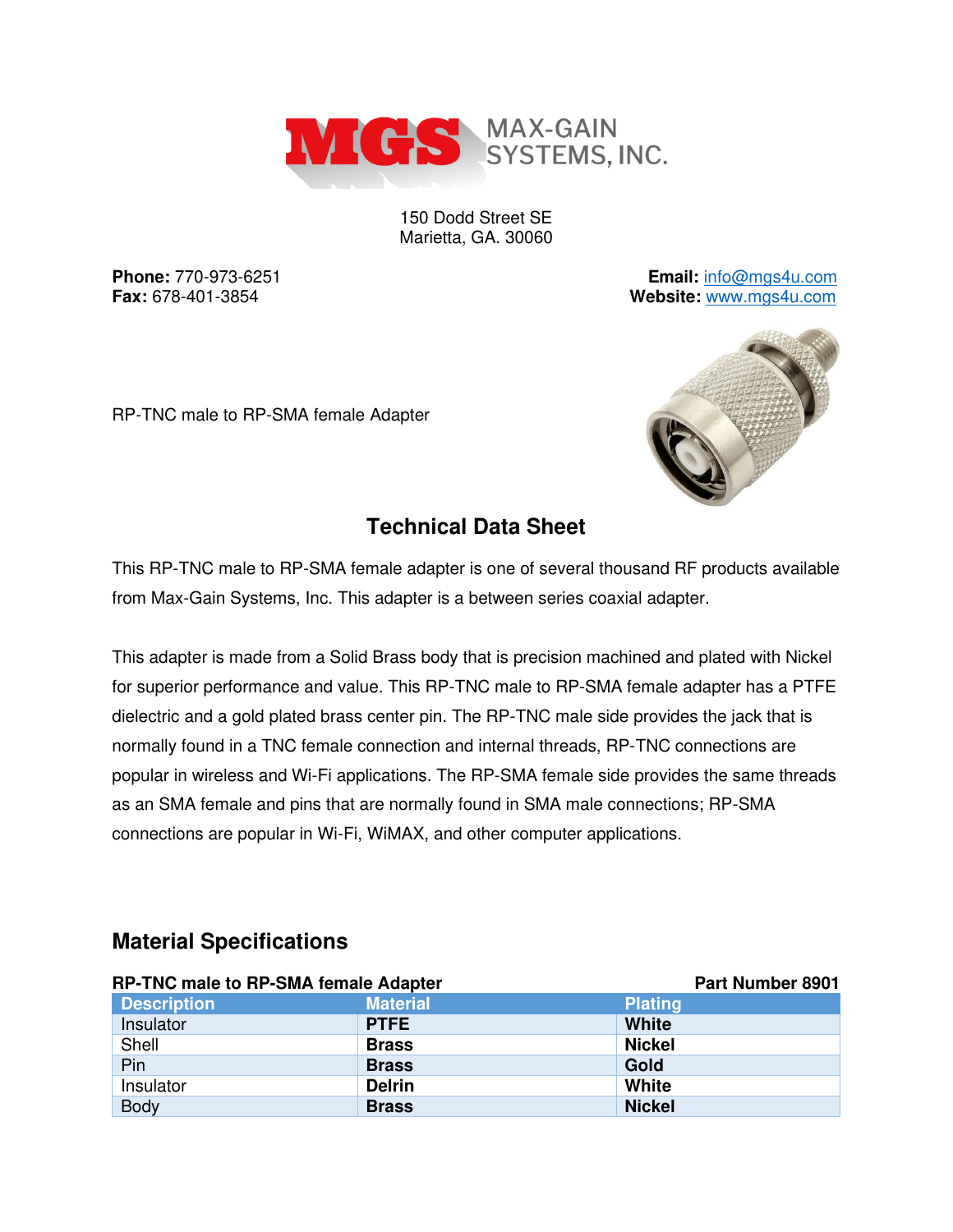

150 Dodd Street SE Marietta, GA. 30060

**Phone:** 770-973-6251 **Email:** [info@mgs4u.com](mailto:info@mgs4u.com) **Fax:** 678-401-3854 **Website:** [www.mgs4u.com](http://www.mgs4u.com/)

RP-TNC male to RP-SMA female Adapter



#### **Technical Data Sheet**

This RP-TNC male to RP-SMA female adapter is one of several thousand RF products available from Max-Gain Systems, Inc. This adapter is a between series coaxial adapter.

This adapter is made from a Solid Brass body that is precision machined and plated with Nickel for superior performance and value. This RP-TNC male to RP-SMA female adapter has a PTFE dielectric and a gold plated brass center pin. The RP-TNC male side provides the jack that is normally found in a TNC female connection and internal threads, RP-TNC connections are popular in wireless and Wi-Fi applications. The RP-SMA female side provides the same threads as an SMA female and pins that are normally found in SMA male connections; RP-SMA connections are popular in Wi-Fi, WiMAX, and other computer applications.

| <b>RP-TNC male to RP-SMA female Adapter</b> |                 | <b>Part Number 8901</b> |
|---------------------------------------------|-----------------|-------------------------|
| <b>Description</b>                          | <b>Material</b> | <b>Plating</b>          |
| Insulator                                   | <b>PTFE</b>     | <b>White</b>            |
| Shell                                       | <b>Brass</b>    | <b>Nickel</b>           |
| Pin                                         | <b>Brass</b>    | Gold                    |
| Insulator                                   | <b>Delrin</b>   | White                   |
| <b>Body</b>                                 | <b>Brass</b>    | <b>Nickel</b>           |

### **Material Specifications**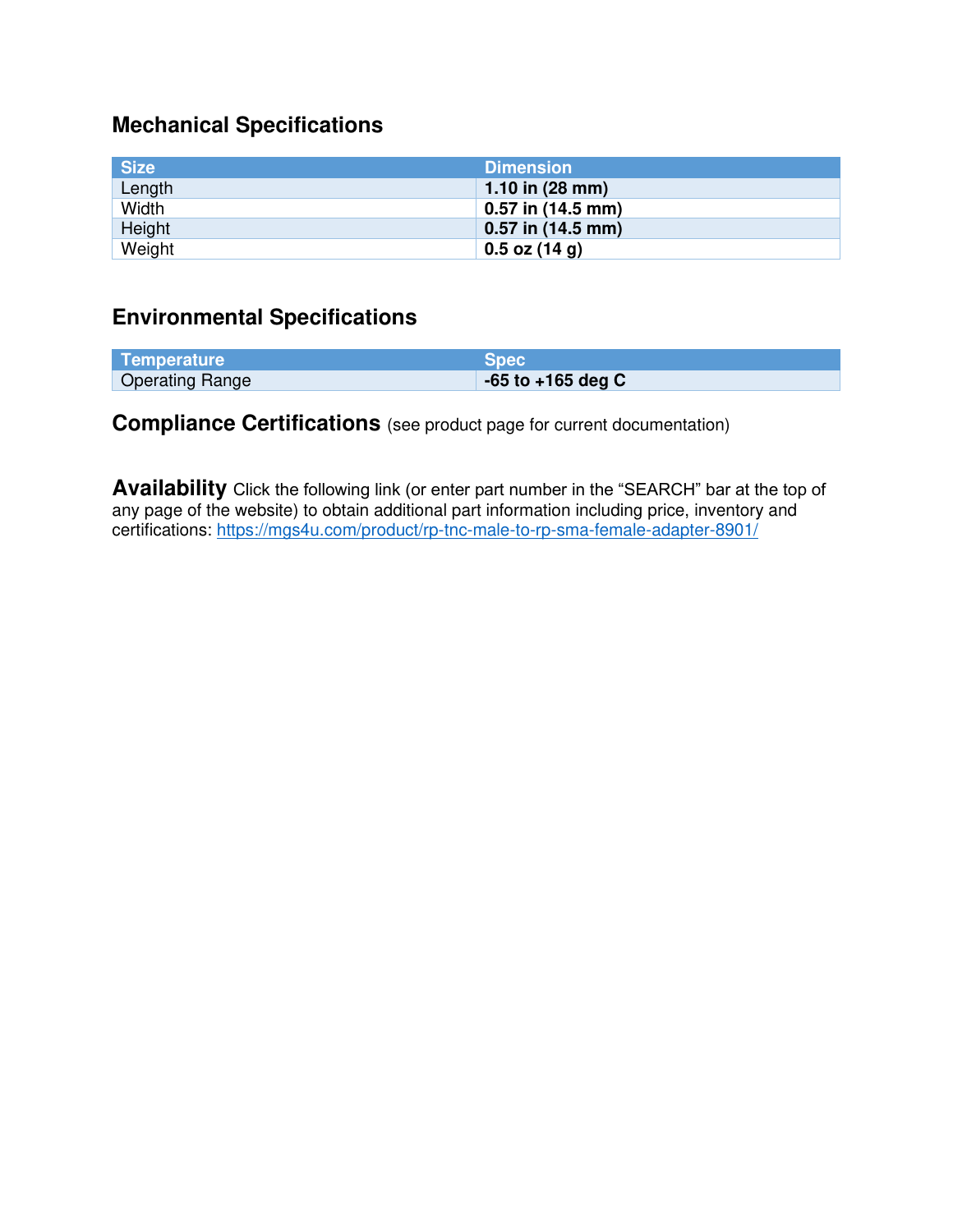# **Mechanical Specifications**

| <b>Size</b> | <b>Dimension</b>          |
|-------------|---------------------------|
| Length      | 1.10 in $(28 \text{ mm})$ |
| Width       | $0.57$ in (14.5 mm)       |
| Height      | $0.57$ in $(14.5$ mm)     |
| Weight      | $0.5$ oz (14 g)           |

### **Environmental Specifications**

| Temperature            | Spec                  |
|------------------------|-----------------------|
| <b>Operating Range</b> | $-65$ to $+165$ deg C |

## **Compliance Certifications** (see product page for current documentation)

**Availability** Click the following link (or enter part number in the "SEARCH" bar at the top of any page of the website) to obtain additional part information including price, inventory and certifications:<https://mgs4u.com/product/rp-tnc-male-to-rp-sma-female-adapter-8901/>